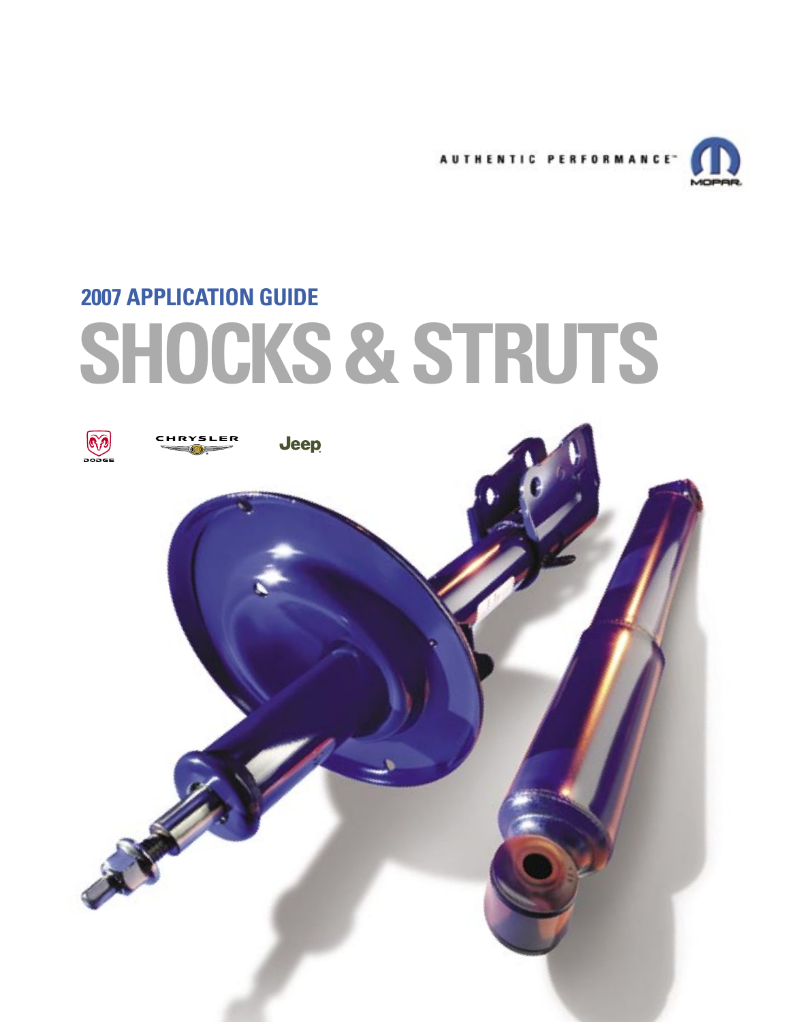

# **SHOCKS & STRUTS 2007 APPLICATION GUIDE**

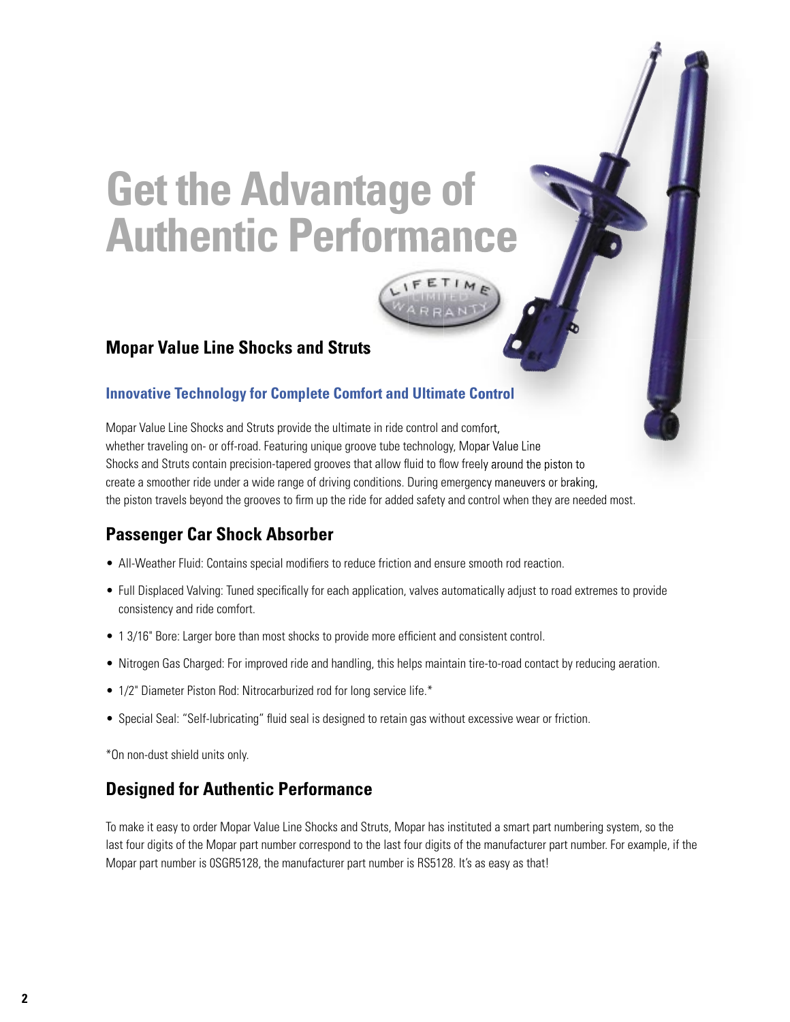## **Get the Advantage of Authentic Performance Authentic**

#### **Mopar Value Line Shocks and Struts**

#### **Innovative Technology for Complete Comfort and Ultimate Control**

Mopar Value Line Shocks and Struts provide the ultimate in ride control and comfort, whether traveling on- or off-road. Featuring unique groove tube technology, Mopar Value Line Shocks and Struts contain precision-tapered grooves that allow fluid to flow freely around the piston to create a smoother ride under a wide range of driving conditions. During emergency maneuvers or braking, the piston travels beyond the grooves to firm up the ride for added safety and control when they are needed most.

#### **Passenger Car Shock Absorber**

- All-Weather Fluid: Contains special modifiers to reduce friction and ensure smooth rod reaction.
- Full Displaced Valving: Tuned specifically for each application, valves automatically adjust to road extremes to provide consistency and ride comfort.
- 1 3/16" Bore: Larger bore than most shocks to provide more efficient and consistent control.
- Nitrogen Gas Charged: For improved ride and handling, this helps maintain tire-to-road contact by reducing aeration.
- 1/2" Diameter Piston Rod: Nitrocarburized rod for long service life.\*
- Special Seal: "Self-lubricating" fluid seal is designed to retain gas without excessive wear or friction.

\*On non-dust shield units only.

#### **Designed for Authentic Performance**

To make it easy to order Mopar Value Line Shocks and Struts, Mopar has instituted a smart part numbering system, so the last four digits of the Mopar part number correspond to the last four digits of the manufacturer part number. For example, if the Mopar part number is 0SGR5128, the manufacturer part number is RS5128. It's as easy as that!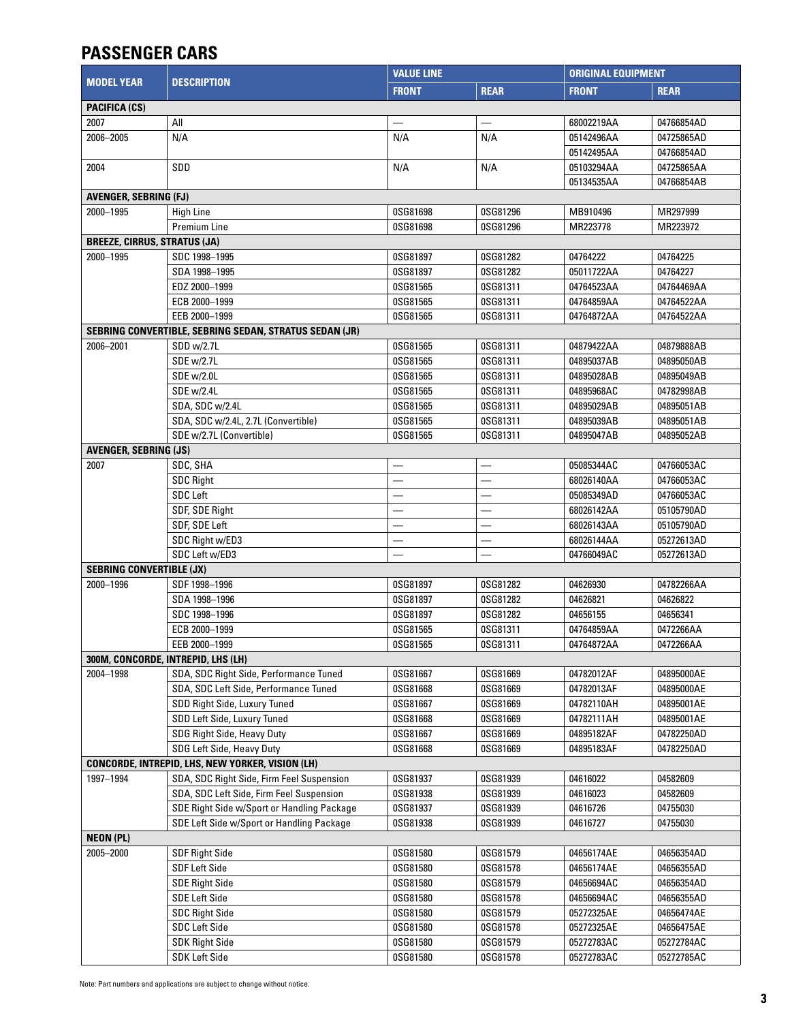## **PASSENGER CARS**

|                                     |                                                        | <b>VALUE LINE</b>        |                          |              | <b>ORIGINAL EQUIPMENT</b> |  |  |
|-------------------------------------|--------------------------------------------------------|--------------------------|--------------------------|--------------|---------------------------|--|--|
| <b>MODEL YEAR</b>                   | <b>DESCRIPTION</b>                                     | <b>FRONT</b>             | <b>REAR</b>              | <b>FRONT</b> | <b>REAR</b>               |  |  |
| <b>PACIFICA (CS)</b>                |                                                        |                          |                          |              |                           |  |  |
| 2007                                | All                                                    |                          |                          | 68002219AA   | 04766854AD                |  |  |
| 2006-2005                           | N/A                                                    | N/A                      | N/A                      | 05142496AA   | 04725865AD                |  |  |
|                                     |                                                        |                          |                          | 05142495AA   | 04766854AD                |  |  |
| 2004                                | SDD                                                    | N/A                      | N/A                      | 05103294AA   | 04725865AA                |  |  |
|                                     |                                                        |                          |                          | 05134535AA   | 04766854AB                |  |  |
| <b>AVENGER, SEBRING (FJ)</b>        |                                                        |                          |                          |              |                           |  |  |
| 2000-1995                           | <b>High Line</b>                                       | 0SG81698                 | 0SG81296                 | MB910496     | MR297999                  |  |  |
|                                     | <b>Premium Line</b>                                    | 0SG81698                 | 0SG81296                 | MR223778     | MR223972                  |  |  |
| <b>BREEZE, CIRRUS, STRATUS (JA)</b> |                                                        |                          |                          |              |                           |  |  |
| 2000-1995                           | SDC 1998-1995                                          | 0SG81897                 | 0SG81282                 | 04764222     | 04764225                  |  |  |
|                                     | SDA 1998-1995                                          | 0SG81897                 | 0SG81282                 | 05011722AA   | 04764227                  |  |  |
|                                     | EDZ 2000-1999                                          | 0SG81565                 | 0SG81311                 | 04764523AA   | 04764469AA                |  |  |
|                                     | ECB 2000-1999                                          | 0SG81565                 | 0SG81311                 | 04764859AA   | 04764522AA                |  |  |
|                                     | EEB 2000-1999                                          | 0SG81565                 | 0SG81311                 | 04764872AA   | 04764522AA                |  |  |
|                                     | SEBRING CONVERTIBLE, SEBRING SEDAN, STRATUS SEDAN (JR) |                          |                          |              |                           |  |  |
| 2006-2001                           | SDD w/2.7L                                             | 0SG81565                 | 0SG81311                 | 04879422AA   | 04879888AB                |  |  |
|                                     | SDE w/2.7L                                             | 0SG81565                 | 0SG81311                 | 04895037AB   | 04895050AB                |  |  |
|                                     | SDE w/2.0L                                             | 0SG81565                 | 0SG81311                 | 04895028AB   | 04895049AB                |  |  |
|                                     | SDE w/2.4L                                             | 0SG81565                 | 0SG81311                 | 04895968AC   | 04782998AB                |  |  |
|                                     | SDA, SDC w/2.4L                                        | 0SG81565                 | 0SG81311                 | 04895029AB   | 04895051AB                |  |  |
|                                     | SDA, SDC w/2.4L, 2.7L (Convertible)                    | 0SG81565                 | 0SG81311                 | 04895039AB   | 04895051AB                |  |  |
|                                     | SDE w/2.7L (Convertible)                               | 0SG81565                 | 0SG81311                 | 04895047AB   | 04895052AB                |  |  |
| <b>AVENGER, SEBRING (JS)</b>        |                                                        |                          |                          |              |                           |  |  |
| 2007                                | SDC, SHA                                               |                          |                          | 05085344AC   | 04766053AC                |  |  |
|                                     | <b>SDC Right</b>                                       | $\overline{\phantom{0}}$ |                          | 68026140AA   | 04766053AC                |  |  |
|                                     | <b>SDC Left</b>                                        |                          |                          | 05085349AD   | 04766053AC                |  |  |
|                                     |                                                        | $\overline{\phantom{0}}$ | $\overline{\phantom{0}}$ | 68026142AA   |                           |  |  |
|                                     | SDF, SDE Right                                         |                          |                          |              | 05105790AD                |  |  |
|                                     | SDF, SDE Left                                          | —                        | $\overline{\phantom{0}}$ | 68026143AA   | 05105790AD                |  |  |
|                                     | SDC Right w/ED3                                        |                          |                          | 68026144AA   | 05272613AD                |  |  |
|                                     | SDC Left w/ED3                                         |                          |                          | 04766049AC   | 05272613AD                |  |  |
| <b>SEBRING CONVERTIBLE (JX)</b>     |                                                        |                          |                          |              |                           |  |  |
| 2000-1996                           | SDF 1998-1996                                          | 0SG81897                 | 0SG81282                 | 04626930     | 04782266AA                |  |  |
|                                     | SDA 1998-1996                                          | 0SG81897                 | 0SG81282                 | 04626821     | 04626822                  |  |  |
|                                     | SDC 1998-1996                                          | 0SG81897                 | 0SG81282                 | 04656155     | 04656341                  |  |  |
|                                     | ECB 2000-1999                                          | 0SG81565                 | 0SG81311                 | 04764859AA   | 0472266AA                 |  |  |
|                                     | EEB 2000-1999                                          | 0SG81565                 | 0SG81311                 | 04764872AA   | 0472266AA                 |  |  |
|                                     | 300M, CONCORDE, INTREPID, LHS (LH)                     |                          |                          |              |                           |  |  |
| 2004-1998                           | SDA, SDC Right Side, Performance Tuned                 | 0SG81667                 | 0SG81669                 | 04782012AF   | 04895000AE                |  |  |
|                                     | SDA, SDC Left Side, Performance Tuned                  | 0SG81668                 | 0SG81669                 | 04782013AF   | 04895000AE                |  |  |
|                                     | SDD Right Side, Luxury Tuned                           | 0SG81667                 | 0SG81669                 | 04782110AH   | 04895001AE                |  |  |
|                                     | SDD Left Side, Luxury Tuned                            | 0SG81668                 | 0SG81669                 | 04782111AH   | 04895001AE                |  |  |
|                                     | SDG Right Side, Heavy Duty                             | 0SG81667                 | 0SG81669                 | 04895182AF   | 04782250AD                |  |  |
|                                     | SDG Left Side, Heavy Duty                              | 0SG81668                 | 0SG81669                 | 04895183AF   | 04782250AD                |  |  |
|                                     | CONCORDE, INTREPID, LHS, NEW YORKER, VISION (LH)       |                          |                          |              |                           |  |  |
| 1997-1994                           | SDA, SDC Right Side, Firm Feel Suspension              | 0SG81937                 | 0SG81939                 | 04616022     | 04582609                  |  |  |
|                                     | SDA, SDC Left Side, Firm Feel Suspension               | 0SG81938                 | 0SG81939                 | 04616023     | 04582609                  |  |  |
|                                     | SDE Right Side w/Sport or Handling Package             | 0SG81937                 | 0SG81939                 | 04616726     | 04755030                  |  |  |
|                                     | SDE Left Side w/Sport or Handling Package              | 0SG81938                 | 0SG81939                 | 04616727     | 04755030                  |  |  |
| <b>NEON (PL)</b>                    |                                                        |                          |                          |              |                           |  |  |
| 2005-2000                           | SDF Right Side                                         | 0SG81580                 | 0SG81579                 | 04656174AE   | 04656354AD                |  |  |
|                                     | SDF Left Side                                          | 0SG81580                 | 0SG81578                 | 04656174AE   | 04656355AD                |  |  |
|                                     | <b>SDE Right Side</b>                                  | 0SG81580                 | 0SG81579                 | 04656694AC   | 04656354AD                |  |  |
|                                     | <b>SDE Left Side</b>                                   | 0SG81580                 | 0SG81578                 | 04656694AC   | 04656355AD                |  |  |
|                                     | <b>SDC Right Side</b>                                  | 0SG81580                 | 0SG81579                 | 05272325AE   | 04656474AE                |  |  |
|                                     | SDC Left Side                                          | 0SG81580                 | 0SG81578                 | 05272325AE   | 04656475AE                |  |  |
|                                     | <b>SDK Right Side</b>                                  | 0SG81580                 | 0SG81579                 | 05272783AC   | 05272784AC                |  |  |
|                                     | <b>SDK Left Side</b>                                   | 0SG81580                 | 0SG81578                 | 05272783AC   | 05272785AC                |  |  |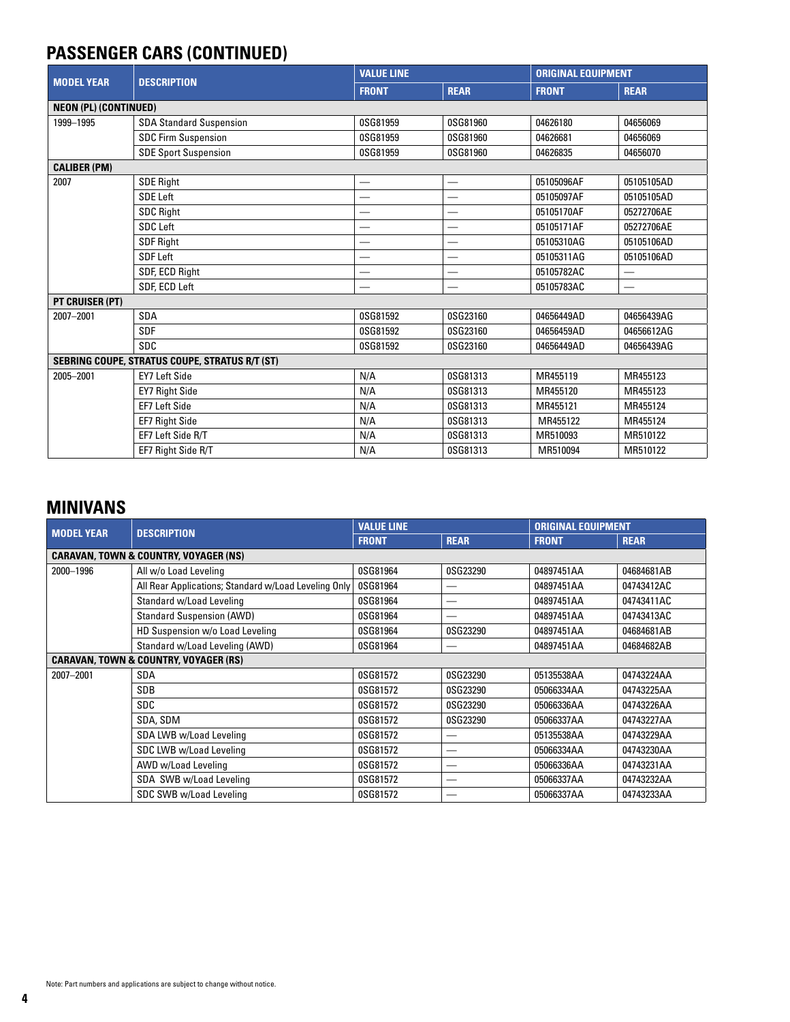## **PASSENGER CARS (CONTINUED)**

|                              |                                                | <b>VALUE LINE</b> |                          | <b>ORIGINAL EQUIPMENT</b> |                             |  |
|------------------------------|------------------------------------------------|-------------------|--------------------------|---------------------------|-----------------------------|--|
| <b>MODEL YEAR</b>            | <b>DESCRIPTION</b>                             | <b>FRONT</b>      | <b>REAR</b>              | <b>FRONT</b>              | <b>REAR</b>                 |  |
| <b>NEON (PL) (CONTINUED)</b> |                                                |                   |                          |                           |                             |  |
| 1999-1995                    | <b>SDA Standard Suspension</b>                 | 0SG81959          | 0SG81960                 | 04626180                  | 04656069                    |  |
|                              | <b>SDC Firm Suspension</b>                     | 0SG81959          | 0SG81960                 | 04626681                  | 04656069                    |  |
|                              | <b>SDE Sport Suspension</b>                    | 0SG81959          | 0SG81960                 | 04626835                  | 04656070                    |  |
| <b>CALIBER (PM)</b>          |                                                |                   |                          |                           |                             |  |
| 2007                         | <b>SDE Right</b>                               | —                 |                          | 05105096AF                | 05105105AD                  |  |
|                              | <b>SDE Left</b>                                | –                 | –                        | 05105097AF                | 05105105AD                  |  |
|                              | <b>SDC Right</b>                               |                   |                          | 05105170AF                | 05272706AE                  |  |
|                              | <b>SDC Left</b>                                |                   |                          | 05105171AF                | 05272706AE                  |  |
|                              | SDF Right                                      |                   |                          | 05105310AG                | 05105106AD                  |  |
|                              | <b>SDF Left</b>                                |                   | $\overline{\phantom{0}}$ | 05105311AG                | 05105106AD                  |  |
|                              | SDF, ECD Right                                 |                   | $\overline{\phantom{0}}$ | 05105782AC                | $\overbrace{\hspace{15em}}$ |  |
|                              | SDF, ECD Left                                  | —                 | $\overline{\phantom{0}}$ | 05105783AC                |                             |  |
| PT CRUISER (PT)              |                                                |                   |                          |                           |                             |  |
| 2007-2001                    | <b>SDA</b>                                     | 0SG81592          | 0SG23160                 | 04656449AD                | 04656439AG                  |  |
|                              | <b>SDF</b>                                     | 0SG81592          | 0SG23160                 | 04656459AD                | 04656612AG                  |  |
|                              | <b>SDC</b>                                     | 0SG81592          | 0SG23160                 | 04656449AD                | 04656439AG                  |  |
|                              | SEBRING COUPE, STRATUS COUPE, STRATUS R/T (ST) |                   |                          |                           |                             |  |
| 2005-2001                    | <b>EY7 Left Side</b>                           | N/A               | 0SG81313                 | MR455119                  | MR455123                    |  |
|                              | <b>EY7 Right Side</b>                          | N/A               | 0SG81313                 | MR455120                  | MR455123                    |  |
|                              | <b>EF7 Left Side</b>                           | N/A               | 0SG81313                 | MR455121                  | MR455124                    |  |
|                              | EF7 Right Side                                 | N/A               | 0SG81313                 | MR455122                  | MR455124                    |  |
|                              | EF7 Left Side R/T                              | N/A               | 0SG81313                 | MR510093                  | MR510122                    |  |
|                              | EF7 Right Side R/T                             | N/A               | 0SG81313                 | MR510094                  | MR510122                    |  |

#### **MINIVANS**

|                   | <b>DESCRIPTION</b>                                   | <b>VALUE LINE</b> |             | <b>ORIGINAL EQUIPMENT</b> |             |  |
|-------------------|------------------------------------------------------|-------------------|-------------|---------------------------|-------------|--|
| <b>MODEL YEAR</b> |                                                      | <b>FRONT</b>      | <b>REAR</b> | <b>FRONT</b>              | <b>REAR</b> |  |
|                   | <b>CARAVAN, TOWN &amp; COUNTRY, VOYAGER (NS)</b>     |                   |             |                           |             |  |
| 2000-1996         | All w/o Load Leveling                                | 0SG81964          | 0SG23290    | 04897451AA                | 04684681AB  |  |
|                   | All Rear Applications; Standard w/Load Leveling Only | 0SG81964          |             | 04897451AA                | 04743412AC  |  |
|                   | Standard w/Load Leveling                             | 0SG81964          |             | 04897451AA                | 04743411AC  |  |
|                   | <b>Standard Suspension (AWD)</b>                     | 0SG81964          |             | 04897451AA                | 04743413AC  |  |
|                   | HD Suspension w/o Load Leveling                      | 0SG81964          | 0SG23290    | 04897451AA                | 04684681AB  |  |
|                   | Standard w/Load Leveling (AWD)                       | 0SG81964          |             | 04897451AA                | 04684682AB  |  |
|                   | <b>CARAVAN, TOWN &amp; COUNTRY, VOYAGER (RS)</b>     |                   |             |                           |             |  |
| 2007-2001         | <b>SDA</b>                                           | 0SG81572          | 0SG23290    | 05135538AA                | 04743224AA  |  |
|                   | <b>SDB</b>                                           | 0SG81572          | 0SG23290    | 05066334AA                | 04743225AA  |  |
|                   | <b>SDC</b>                                           | 0SG81572          | 0SG23290    | 05066336AA                | 04743226AA  |  |
|                   | SDA, SDM                                             | 0SG81572          | 0SG23290    | 05066337AA                | 04743227AA  |  |
|                   | SDA LWB w/Load Leveling                              | 0SG81572          |             | 05135538AA                | 04743229AA  |  |
|                   | SDC LWB w/Load Leveling                              | 0SG81572          |             | 05066334AA                | 04743230AA  |  |
|                   | AWD w/Load Leveling                                  | 0SG81572          |             | 05066336AA                | 04743231AA  |  |
|                   | SDA SWB w/Load Leveling                              | 0SG81572          |             | 05066337AA                | 04743232AA  |  |
|                   | SDC SWB w/Load Leveling                              | 0SG81572          |             | 05066337AA                | 04743233AA  |  |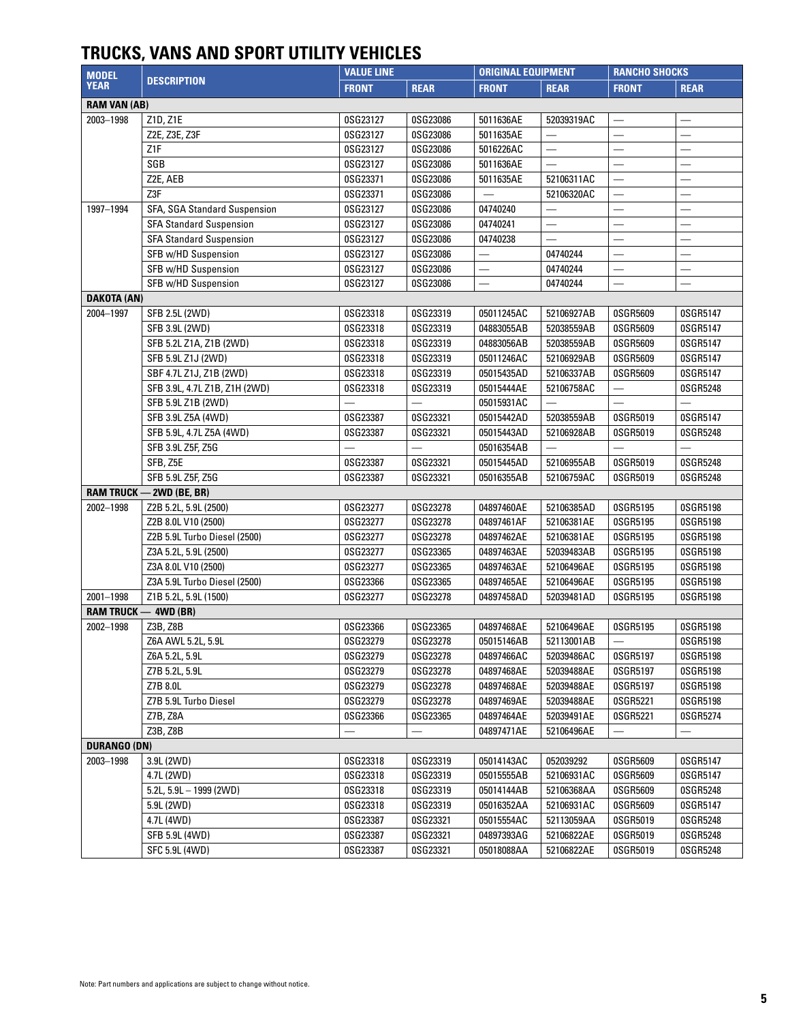## **TRUCKS, VANS AND SPORT UTILITY VEHICLES**

| <b>MODEL</b>        | <b>DESCRIPTION</b>              | <b>VALUE LINE</b> |             | <b>ORIGINAL EQUIPMENT</b> |                          | <b>RANCHO SHOCKS</b>     |                          |
|---------------------|---------------------------------|-------------------|-------------|---------------------------|--------------------------|--------------------------|--------------------------|
| <b>YEAR</b>         |                                 | <b>FRONT</b>      | <b>REAR</b> | <b>FRONT</b>              | <b>REAR</b>              | <b>FRONT</b>             | <b>REAR</b>              |
| <b>RAM VAN (AB)</b> |                                 |                   |             |                           |                          |                          |                          |
| 2003-1998           | Z1D, Z1E                        | 0SG23127          | 0SG23086    | 5011636AE                 | 52039319AC               |                          |                          |
|                     | Z2E, Z3E, Z3F                   | 0SG23127          | 0SG23086    | 5011635AE                 |                          | $\overline{\phantom{0}}$ | —                        |
|                     | Z <sub>1</sub> F                | 0SG23127          | 0SG23086    | 5016226AC                 | $\overline{\phantom{0}}$ |                          | $\overline{\phantom{0}}$ |
|                     | SGB                             | 0SG23127          | 0SG23086    | 5011636AE                 |                          |                          | $\overline{\phantom{0}}$ |
|                     | Z2E, AEB                        | 0SG23371          | 0SG23086    | 5011635AE                 | 52106311AC               |                          | $\overline{\phantom{0}}$ |
|                     | Z3F                             | 0SG23371          | 0SG23086    | $\equiv$                  | 52106320AC               | $\equiv$                 | $\overline{\phantom{0}}$ |
| 1997-1994           | SFA, SGA Standard Suspension    | 0SG23127          | 0SG23086    | 04740240                  |                          |                          |                          |
|                     | <b>SFA Standard Suspension</b>  | 0SG23127          | 0SG23086    | 04740241                  |                          |                          |                          |
|                     | <b>SFA Standard Suspension</b>  | 0SG23127          | 0SG23086    | 04740238                  |                          |                          |                          |
|                     | SFB w/HD Suspension             | 0SG23127          | 0SG23086    |                           | 04740244                 |                          | $\overline{\phantom{0}}$ |
|                     | SFB w/HD Suspension             | 0SG23127          | 0SG23086    |                           | 04740244                 |                          |                          |
|                     | SFB w/HD Suspension             | 0SG23127          | 0SG23086    |                           | 04740244                 |                          |                          |
| <b>DAKOTA (AN)</b>  |                                 |                   |             |                           |                          |                          |                          |
| 2004-1997           | SFB 2.5L (2WD)                  | 0SG23318          | 0SG23319    | 05011245AC                | 52106927AB               | 0SGR5609                 | 0SGR5147                 |
|                     | SFB 3.9L (2WD)                  | 0SG23318          | 0SG23319    | 04883055AB                | 52038559AB               | 0SGR5609                 | 0SGR5147                 |
|                     | SFB 5.2L Z1A, Z1B (2WD)         | 0SG23318          | 0SG23319    | 04883056AB                | 52038559AB               | 0SGR5609                 | 0SGR5147                 |
|                     | SFB 5.9L Z1J (2WD)              | 0SG23318          | 0SG23319    | 05011246AC                | 52106929AB               | 0SGR5609                 | 0SGR5147                 |
|                     | SBF 4.7L Z1J, Z1B (2WD)         | 0SG23318          | 0SG23319    | 05015435AD                | 52106337AB               | 0SGR5609                 | 0SGR5147                 |
|                     | SFB 3.9L, 4.7L Z1B, Z1H (2WD)   | 0SG23318          | 0SG23319    | 05015444AE                | 52106758AC               |                          | 0SGR5248                 |
|                     | SFB 5.9L Z1B (2WD)              |                   |             | 05015931AC                |                          |                          | $\overline{\phantom{0}}$ |
|                     | SFB 3.9L Z5A (4WD)              | 0SG23387          | 0SG23321    | 05015442AD                | 52038559AB               | 0SGR5019                 | 0SGR5147                 |
|                     | SFB 5.9L, 4.7L Z5A (4WD)        | 0SG23387          | 0SG23321    | 05015443AD                | 52106928AB               | 0SGR5019                 | 0SGR5248                 |
|                     | SFB 3.9L Z5F, Z5G               |                   |             | 05016354AB                |                          |                          |                          |
|                     | SFB, Z5E                        | 0SG23387          | 0SG23321    | 05015445AD                | 52106955AB               | 0SGR5019                 | 0SGR5248                 |
|                     | SFB 5.9L Z5F, Z5G               | 0SG23387          | 0SG23321    | 05016355AB                | 52106759AC               | 0SGR5019                 | 0SGR5248                 |
|                     | <b>RAM TRUCK - 2WD (BE, BR)</b> |                   |             |                           |                          |                          |                          |
| 2002-1998           | Z2B 5.2L, 5.9L (2500)           | 0SG23277          | 0SG23278    | 04897460AE                | 52106385AD               | 0SGR5195                 | 0SGR5198                 |
|                     | Z2B 8.0L V10 (2500)             | 0SG23277          | 0SG23278    | 04897461AF                | 52106381AE               | 0SGR5195                 | 0SGR5198                 |
|                     | Z2B 5.9L Turbo Diesel (2500)    | 0SG23277          | 0SG23278    | 04897462AE                | 52106381AE               | 0SGR5195                 | 0SGR5198                 |
|                     | Z3A 5.2L, 5.9L (2500)           | 0SG23277          | 0SG23365    | 04897463AE                | 52039483AB               | 0SGR5195                 | 0SGR5198                 |
|                     | Z3A 8.0L V10 (2500)             | 0SG23277          | 0SG23365    | 04897463AE                | 52106496AE               | 0SGR5195                 | 0SGR5198                 |
|                     | Z3A 5.9L Turbo Diesel (2500)    | 0SG23366          | 0SG23365    | 04897465AE                | 52106496AE               | 0SGR5195                 | 0SGR5198                 |
| 2001-1998           | Z1B 5.2L, 5.9L (1500)           | 0SG23277          | 0SG23278    | 04897458AD                | 52039481AD               | 0SGR5195                 | 0SGR5198                 |
|                     | <b>RAM TRUCK - 4WD (BR)</b>     |                   |             |                           |                          |                          |                          |
| 2002-1998           | Z3B, Z8B                        | 0SG23366          | 0SG23365    | 04897468AE                | 52106496AE               | 0SGR5195                 | 0SGR5198                 |
|                     | Z6A AWL 5.2L, 5.9L              | 0SG23279          | 0SG23278    | 05015146AB                | 52113001AB               |                          | 0SGR5198                 |
|                     | Z6A 5.2L, 5.9L                  | 0SG23279          | 0SG23278    | 04897466AC                | 52039486AC               | 0SGR5197                 | 0SGR5198                 |
|                     | Z7B 5.2L, 5.9L                  | 0SG23279          | 0SG23278    | 04897468AE                | 52039488AE               | 0SGR5197                 | 0SGR5198                 |
|                     | Z7B 8.0L                        | 0SG23279          | 0SG23278    | 04897468AE                | 52039488AE               | 0SGR5197                 | 0SGR5198                 |
|                     | Z7B 5.9L Turbo Diesel           | 0SG23279          | 0SG23278    | 04897469AE                | 52039488AE               | 0SGR5221                 | 0SGR5198                 |
|                     | Z7B, Z8A                        | 0SG23366          | 0SG23365    | 04897464AE                | 52039491AE               | 0SGR5221                 | 0SGR5274                 |
|                     | Z3B, Z8B                        |                   |             | 04897471AE                | 52106496AE               |                          | $\overline{\phantom{0}}$ |
| <b>DURANGO (DN)</b> |                                 |                   |             |                           |                          |                          |                          |
| 2003-1998           | 3.9L (2WD)                      | 0SG23318          | 0SG23319    | 05014143AC                | 052039292                | 0SGR5609                 | 0SGR5147                 |
|                     | 4.7L (2WD)                      | 0SG23318          | 0SG23319    | 05015555AB                | 52106931AC               | 0SGR5609                 | 0SGR5147                 |
|                     | $5.2$ L, $5.9$ L $-$ 1999 (2WD) | 0SG23318          | 0SG23319    | 05014144AB                | 52106368AA               | 0SGR5609                 | 0SGR5248                 |
|                     | 5.9L (2WD)                      | 0SG23318          | 0SG23319    | 05016352AA                | 52106931AC               | 0SGR5609                 | 0SGR5147                 |
|                     | 4.7L (4WD)                      | 0SG23387          | 0SG23321    | 05015554AC                | 52113059AA               | 0SGR5019                 | 0SGR5248                 |
|                     | SFB 5.9L (4WD)                  | 0SG23387          | 0SG23321    | 04897393AG                | 52106822AE               | 0SGR5019                 | 0SGR5248                 |
|                     | SFC 5.9L (4WD)                  | 0SG23387          | 0SG23321    | 05018088AA                | 52106822AE               | 0SGR5019                 | 0SGR5248                 |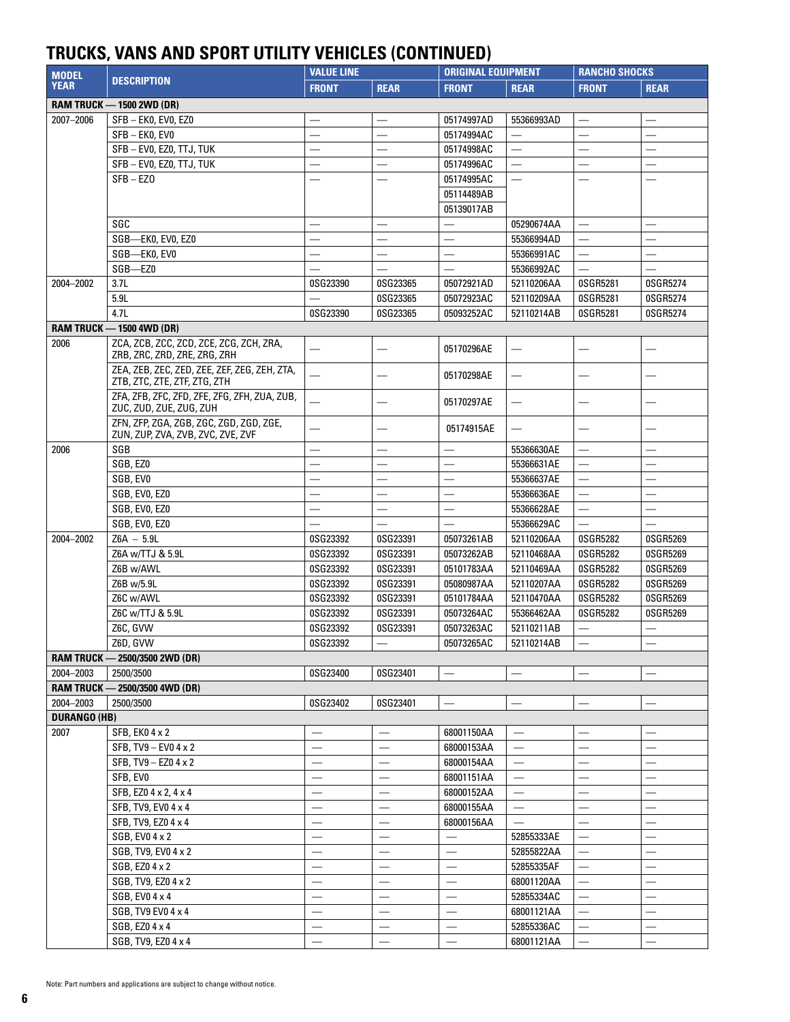## **TRUCKS, VANS AND SPORT UTILITY VEHICLES (CONTINUED)**

| <b>MODEL</b>        |                                                                              | <b>VALUE LINE</b>        |                               | <b>ORIGINAL EQUIPMENT</b> |                          | <b>RANCHO SHOCKS</b>     |                          |
|---------------------|------------------------------------------------------------------------------|--------------------------|-------------------------------|---------------------------|--------------------------|--------------------------|--------------------------|
| <b>YEAR</b>         | <b>DESCRIPTION</b>                                                           | <b>FRONT</b>             | <b>REAR</b>                   | <b>FRONT</b>              | <b>REAR</b>              | <b>FRONT</b>             | <b>REAR</b>              |
|                     | <b>RAM TRUCK - 1500 2WD (DR)</b>                                             |                          |                               |                           |                          |                          |                          |
| 2007-2006           | SFB-EK0, EV0, EZ0                                                            |                          |                               | 05174997AD                | 55366993AD               |                          |                          |
|                     | SFB-EK0, EV0                                                                 | $\overline{\phantom{0}}$ |                               | 05174994AC                |                          |                          |                          |
|                     | SFB - EVO, EZO, TTJ, TUK                                                     | $\overline{\phantom{0}}$ |                               | 05174998AC                |                          |                          | $\overline{\phantom{0}}$ |
|                     | SFB - EV0, EZ0, TTJ, TUK                                                     | $\overline{\phantom{0}}$ |                               | 05174996AC                |                          |                          | $\overline{\phantom{0}}$ |
|                     | $SFB - EZO$                                                                  |                          |                               | 05174995AC                |                          |                          |                          |
|                     |                                                                              |                          |                               | 05114489AB                |                          |                          |                          |
|                     |                                                                              |                          |                               | 05139017AB                |                          |                          |                          |
|                     | SGC                                                                          | $\overline{\phantom{0}}$ | $\overline{\phantom{0}}$      |                           | 05290674AA               | $\overline{\phantom{0}}$ | $\overline{\phantom{0}}$ |
|                     | SGB-EK0, EV0, EZ0                                                            | $\overline{\phantom{0}}$ |                               | $\overline{\phantom{0}}$  | 55366994AD               | $\overline{\phantom{0}}$ |                          |
|                     | SGB-EK0, EV0                                                                 | $\overline{\phantom{0}}$ | $\equiv$                      |                           | 55366991AC               | $\overline{\phantom{0}}$ | $\overline{\phantom{0}}$ |
|                     | SGB-EZ0                                                                      |                          |                               |                           | 55366992AC               | $\equiv$                 |                          |
| 2004-2002           | 3.7L                                                                         | 0SG23390                 | 0SG23365                      | 05072921AD                | 52110206AA               | 0SGR5281                 | 0SGR5274                 |
|                     | 5.9L                                                                         |                          | 0SG23365                      | 05072923AC                | 52110209AA               | 0SGR5281                 | 0SGR5274                 |
|                     | 4.7L                                                                         | 0SG23390                 | 0SG23365                      | 05093252AC                | 52110214AB               | 0SGR5281                 | 0SGR5274                 |
|                     | <b>RAM TRUCK - 1500 4WD (DR)</b>                                             |                          |                               |                           |                          |                          |                          |
| 2006                | ZCA, ZCB, ZCC, ZCD, ZCE, ZCG, ZCH, ZRA,                                      |                          |                               |                           |                          |                          |                          |
|                     | ZRB, ZRC, ZRD, ZRE, ZRG, ZRH                                                 |                          |                               | 05170296AE                |                          |                          |                          |
|                     | ZEA, ZEB, ZEC, ZED, ZEE, ZEF, ZEG, ZEH, ZTA,                                 | $\equiv$                 | -                             | 05170298AE                | $\overline{\phantom{0}}$ |                          |                          |
|                     | ZTB, ZTC, ZTE, ZTF, ZTG, ZTH                                                 |                          |                               |                           |                          |                          |                          |
|                     | ZFA, ZFB, ZFC, ZFD, ZFE, ZFG, ZFH, ZUA, ZUB,                                 |                          |                               | 05170297AE                |                          |                          |                          |
|                     | ZUC, ZUD, ZUE, ZUG, ZUH                                                      |                          |                               |                           |                          |                          |                          |
|                     | ZFN, ZFP, ZGA, ZGB, ZGC, ZGD, ZGD, ZGE,<br>ZUN, ZUP, ZVA, ZVB, ZVC, ZVE, ZVF | $\overline{\phantom{0}}$ | -                             | 05174915AE                |                          |                          |                          |
| 2006                | SGB                                                                          |                          |                               |                           | 55366630AE               |                          |                          |
|                     | SGB, EZ0                                                                     |                          |                               |                           | 55366631AE               | $\overline{\phantom{0}}$ |                          |
|                     | SGB, EVO                                                                     |                          |                               |                           |                          | $\overline{\phantom{0}}$ |                          |
|                     | SGB, EV0, EZ0                                                                | $\overline{\phantom{0}}$ |                               |                           | 55366637AE               |                          |                          |
|                     |                                                                              | $\overline{\phantom{0}}$ |                               |                           | 55366636AE               | $\overline{\phantom{0}}$ | $\overline{\phantom{0}}$ |
|                     | SGB, EVO, EZO                                                                | $\overline{\phantom{0}}$ |                               | $\overline{\phantom{0}}$  | 55366628AE               | $\overline{\phantom{0}}$ |                          |
|                     | SGB, EV0, EZ0<br>$Z6A - 5.9L$                                                | 0SG23392                 |                               |                           | 55366629AC               |                          |                          |
| 2004-2002           |                                                                              |                          | 0SG23391                      | 05073261AB                | 52110206AA               | 0SGR5282                 | 0SGR5269                 |
|                     | Z6A w/TTJ & 5.9L                                                             | 0SG23392<br>0SG23392     | 0SG23391                      | 05073262AB<br>05101783AA  | 52110468AA               | 0SGR5282<br>0SGR5282     | 0SGR5269                 |
|                     | Z6B w/AWL                                                                    |                          | 0SG23391                      |                           | 52110469AA               |                          | 0SGR5269                 |
|                     | Z6B w/5.9L                                                                   | 0SG23392                 | 0SG23391                      | 05080987AA                | 52110207AA               | 0SGR5282                 | 0SGR5269                 |
|                     | Z6C w/AWL                                                                    | 0SG23392                 | 0SG23391                      | 05101784AA                | 52110470AA               | 0SGR5282                 | 0SGR5269                 |
|                     | Z6C w/TTJ & 5.9L                                                             | 0SG23392                 | 0SG23391                      | 05073264AC                | 55366462AA               | 0SGR5282                 | 0SGR5269                 |
|                     | Z6C, GVW<br>Z6D, GVW                                                         | 0SG23392                 | 0SG23391                      | 05073263AC                | 52110211AB               |                          |                          |
|                     |                                                                              | 0SG23392                 |                               | 05073265AC                | 52110214AB               |                          |                          |
|                     | RAM TRUCK - 2500/3500 2WD (DR)                                               |                          |                               |                           |                          |                          |                          |
| 2004-2003           | 2500/3500                                                                    | 0SG23400                 | 0SG23401                      |                           |                          |                          |                          |
|                     | RAM TRUCK - 2500/3500 4WD (DR)                                               |                          |                               |                           |                          |                          |                          |
| 2004-2003           | 2500/3500                                                                    | 0SG23402                 | 0SG23401                      |                           |                          |                          |                          |
| <b>DURANGO (HB)</b> |                                                                              |                          |                               |                           |                          |                          |                          |
| 2007                | SFB, EK0 4 x 2                                                               | $\overline{\phantom{0}}$ |                               | 68001150AA                |                          |                          | —                        |
|                     | SFB, TV9 - EV0 4 x 2                                                         |                          |                               | 68000153AA                | $\overline{\phantom{0}}$ |                          |                          |
|                     | SFB, TV9 - EZ0 4 x 2                                                         |                          |                               | 68000154AA                |                          |                          | $\overline{\phantom{0}}$ |
|                     | SFB, EVO                                                                     |                          |                               | 68001151AA                | $\overline{\phantom{0}}$ |                          | $\overline{\phantom{0}}$ |
|                     | SFB, EZ0 4 x 2, 4 x 4                                                        |                          |                               | 68000152AA                |                          |                          | $\overline{\phantom{0}}$ |
|                     | SFB, TV9, EV0 4 x 4                                                          |                          | $\overline{\phantom{0}}$      | 68000155AA                |                          |                          | $\overline{\phantom{0}}$ |
|                     | SFB, TV9, EZ0 4 x 4                                                          |                          |                               | 68000156AA                |                          |                          |                          |
|                     | SGB, EV0 4 x 2                                                               | $\overline{\phantom{0}}$ | $\overline{\phantom{0}}$      | $\overline{\phantom{0}}$  | 52855333AE               |                          | $\overline{\phantom{0}}$ |
|                     | SGB, TV9, EV0 4 x 2                                                          |                          |                               |                           | 52855822AA               |                          | $\overline{\phantom{0}}$ |
|                     | SGB, EZ0 4 x 2                                                               |                          |                               |                           | 52855335AF               | $\overline{\phantom{0}}$ | $\overline{\phantom{0}}$ |
|                     | SGB, TV9, EZ0 4 x 2                                                          |                          |                               | $\overline{\phantom{0}}$  | 68001120AA               | $\overline{\phantom{0}}$ | —                        |
|                     | SGB, EV0 4 x 4                                                               |                          | $\qquad \qquad$               |                           | 52855334AC               |                          | $\overline{\phantom{0}}$ |
|                     | SGB, TV9 EV0 4 x 4                                                           | $\overline{\phantom{0}}$ | $\overline{\phantom{m}}$      |                           | 68001121AA               |                          | $\overline{\phantom{0}}$ |
|                     | SGB, EZ0 4 x 4                                                               |                          | $\overbrace{\phantom{13333}}$ |                           | 52855336AC               |                          | —                        |
|                     | SGB, TV9, EZ0 4 x 4                                                          | $\overline{\phantom{0}}$ |                               | $\overline{\phantom{0}}$  | 68001121AA               | $\overline{\phantom{0}}$ | —                        |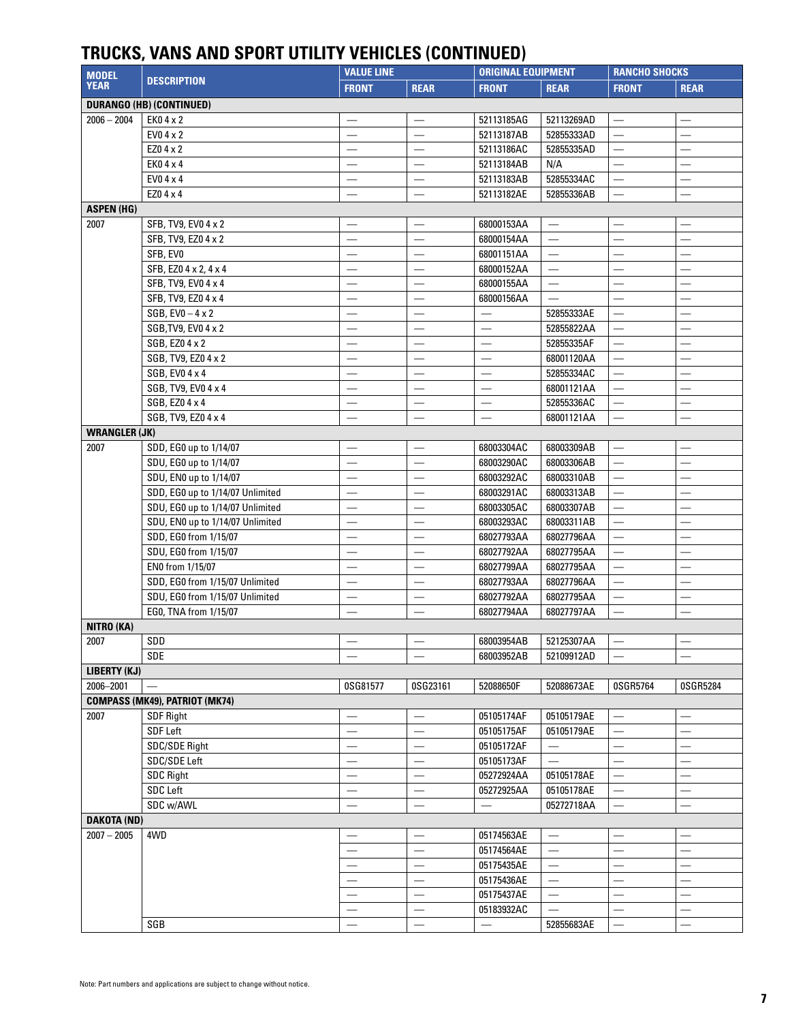## **TRUCKS, VANS AND SPORT UTILITY VEHICLES (CONTINUED)**

| <b>MODEL</b>         | <b>DESCRIPTION</b>                    | <b>VALUE LINE</b>        |                          | <b>ORIGINAL EQUIPMENT</b>        |                          | <b>RANCHO SHOCKS</b>     |                          |
|----------------------|---------------------------------------|--------------------------|--------------------------|----------------------------------|--------------------------|--------------------------|--------------------------|
| <b>YEAR</b>          |                                       | <b>FRONT</b>             | <b>REAR</b>              | <b>FRONT</b>                     | <b>REAR</b>              | <b>FRONT</b>             | <b>REAR</b>              |
|                      | <b>DURANGO (HB) (CONTINUED)</b>       |                          |                          |                                  |                          |                          |                          |
| $2006 - 2004$        | EK04 x 2                              |                          |                          | 52113185AG                       | 52113269AD               |                          |                          |
|                      | EV0 4 x 2                             |                          |                          | 52113187AB                       | 52855333AD               |                          |                          |
|                      | EZ0 4 x 2                             | $\overline{\phantom{0}}$ | $\overline{\phantom{0}}$ | 52113186AC                       | 52855335AD               | $\overline{\phantom{0}}$ | —                        |
|                      | EK04 x 4                              |                          | $\overline{\phantom{0}}$ | 52113184AB                       | N/A                      |                          |                          |
|                      | EV0 4 x 4                             |                          |                          | 52113183AB                       | 52855334AC               |                          | $\overline{\phantom{0}}$ |
|                      | EZ0 4 x 4                             |                          |                          | 52113182AE                       | 52855336AB               |                          |                          |
| <b>ASPEN (HG)</b>    |                                       |                          |                          |                                  |                          |                          |                          |
| 2007                 | SFB, TV9, EV0 4 x 2                   |                          | $\overline{\phantom{0}}$ | 68000153AA                       | $\overline{\phantom{0}}$ |                          |                          |
|                      | SFB, TV9, EZ0 4 x 2                   |                          |                          | 68000154AA                       |                          |                          |                          |
|                      | SFB, EVO                              |                          | $\overline{\phantom{0}}$ | 68001151AA                       |                          |                          |                          |
|                      | SFB, EZ0 4 x 2, 4 x 4                 | $\overline{\phantom{0}}$ | $\overline{\phantom{0}}$ | 68000152AA                       | $\overline{\phantom{0}}$ |                          | $\overline{\phantom{0}}$ |
|                      | SFB, TV9, EV0 4 x 4                   |                          | $\overline{\phantom{0}}$ | 68000155AA                       | $\overline{\phantom{0}}$ |                          |                          |
|                      | SFB, TV9, EZ0 4 x 4                   |                          |                          | 68000156AA                       | $\overline{\phantom{0}}$ |                          | $\overline{\phantom{0}}$ |
|                      | $SGB, EV0 - 4 x 2$                    |                          |                          | $\equiv$                         | 52855333AE               | $\overline{\phantom{0}}$ | $\overline{\phantom{0}}$ |
|                      | SGB, TV9, EV0 4 x 2                   |                          |                          |                                  | 52855822AA               |                          | $\overline{\phantom{0}}$ |
|                      | SGB, EZ0 4 x 2                        |                          | $\overline{\phantom{0}}$ |                                  | 52855335AF               |                          | $\overline{\phantom{0}}$ |
|                      | SGB, TV9, EZ0 4 x 2                   | $\overline{\phantom{0}}$ | $\overline{\phantom{0}}$ |                                  | 68001120AA               |                          | $\overline{\phantom{0}}$ |
|                      | SGB, EV0 4 x 4                        | $\overline{\phantom{0}}$ | $\overline{\phantom{0}}$ |                                  | 52855334AC               |                          | $\overline{\phantom{0}}$ |
|                      | SGB, TV9, EV0 4 x 4                   |                          |                          |                                  | 68001121AA               |                          |                          |
|                      | SGB, EZ0 4 x 4                        |                          | $\overline{\phantom{0}}$ |                                  | 52855336AC               |                          | $\overline{\phantom{0}}$ |
|                      | SGB, TV9, EZ0 4 x 4                   |                          |                          |                                  | 68001121AA               |                          |                          |
| <b>WRANGLER (JK)</b> |                                       |                          |                          |                                  |                          |                          |                          |
| 2007                 | SDD, EG0 up to 1/14/07                | —                        | $\overline{\phantom{0}}$ | 68003304AC                       | 68003309AB               |                          | —<br>—                   |
|                      | SDU, EG0 up to 1/14/07                |                          |                          | 68003290AC                       | 68003306AB               | $\overline{\phantom{0}}$ |                          |
|                      | SDU, EN0 up to 1/14/07                |                          |                          | 68003292AC                       | 68003310AB               | $\overline{\phantom{0}}$ | $\overline{\phantom{0}}$ |
|                      | SDD, EG0 up to 1/14/07 Unlimited      |                          |                          | 68003291AC                       | 68003313AB               | $\overline{\phantom{0}}$ | $\overline{\phantom{0}}$ |
|                      | SDU, EG0 up to 1/14/07 Unlimited      |                          |                          | 68003305AC                       | 68003307AB               |                          | $\equiv$                 |
|                      | SDU, EN0 up to 1/14/07 Unlimited      | $\overline{\phantom{0}}$ |                          | 68003293AC                       | 68003311AB               | $\overline{\phantom{0}}$ | $\equiv$                 |
|                      | SDD, EG0 from 1/15/07                 |                          |                          | 68027793AA                       | 68027796AA               |                          |                          |
|                      | SDU, EG0 from 1/15/07                 | $\overline{\phantom{0}}$ | $\overline{\phantom{0}}$ | 68027792AA                       | 68027795AA               |                          | —                        |
|                      | EN0 from 1/15/07                      |                          |                          | 68027799AA                       | 68027795AA               |                          | $\overline{\phantom{0}}$ |
|                      | SDD, EG0 from 1/15/07 Unlimited       |                          |                          | 68027793AA                       | 68027796AA               |                          | $\overline{\phantom{0}}$ |
|                      | SDU, EG0 from 1/15/07 Unlimited       |                          |                          | 68027792AA                       | 68027795AA               |                          | $\overline{\phantom{0}}$ |
|                      | EG0, TNA from 1/15/07                 |                          |                          | 68027794AA                       | 68027797AA               |                          |                          |
| NITRO (KA)           |                                       |                          |                          |                                  |                          |                          |                          |
| 2007                 | SDD                                   |                          |                          | 68003954AB   52125307AA          |                          |                          |                          |
|                      | SDE                                   |                          |                          | 68003952AB                       | 52109912AD               |                          |                          |
| LIBERTY (KJ)         |                                       |                          |                          |                                  |                          |                          |                          |
| 2006-2001            |                                       | 0SG81577                 | 0SG23161                 | 52088650F                        | 52088673AE               | 0SGR5764                 | 0SGR5284                 |
|                      | <b>COMPASS (MK49), PATRIOT (MK74)</b> |                          |                          |                                  |                          |                          |                          |
| 2007                 | <b>SDF Right</b>                      |                          |                          | 05105174AF                       | 05105179AE               |                          | $\overline{\phantom{0}}$ |
|                      | SDF Left                              |                          |                          | 05105175AF                       | 05105179AE               |                          | $\overline{\phantom{0}}$ |
|                      | SDC/SDE Right                         |                          |                          | 05105172AF                       |                          |                          | —                        |
|                      | SDC/SDE Left                          | $\overline{\phantom{0}}$ | $\overline{\phantom{0}}$ | 05105173AF                       |                          |                          | —                        |
|                      | <b>SDC Right</b>                      |                          |                          | 05272924AA                       | 05105178AE               |                          | $\overline{\phantom{0}}$ |
|                      | SDC Left                              |                          |                          | 05272925AA                       | 05105178AE               |                          | $\overline{\phantom{0}}$ |
|                      | SDC w/AWL                             |                          |                          | $\overbrace{\phantom{12322111}}$ | 05272718AA               |                          |                          |
| <b>DAKOTA (ND)</b>   |                                       |                          |                          |                                  |                          |                          |                          |
| $2007 - 2005$        | 4WD                                   |                          |                          | 05174563AE                       |                          |                          |                          |
|                      |                                       | $\overline{\phantom{0}}$ | $\overline{\phantom{0}}$ | 05174564AE                       | —                        |                          | —                        |
|                      |                                       |                          |                          | 05175435AE                       |                          |                          | $\overline{\phantom{0}}$ |
|                      |                                       |                          |                          | 05175436AE                       |                          |                          | $\overline{\phantom{0}}$ |
|                      |                                       |                          |                          | 05175437AE                       |                          |                          | $\overline{\phantom{0}}$ |
|                      |                                       |                          | $\overline{\phantom{0}}$ | 05183932AC                       | $\overline{\phantom{0}}$ | $\overline{\phantom{0}}$ | $\qquad \qquad$          |
|                      | SGB                                   | $\equiv$                 |                          |                                  | 52855683AE               |                          | $\overline{\phantom{0}}$ |
|                      |                                       |                          |                          |                                  |                          |                          |                          |